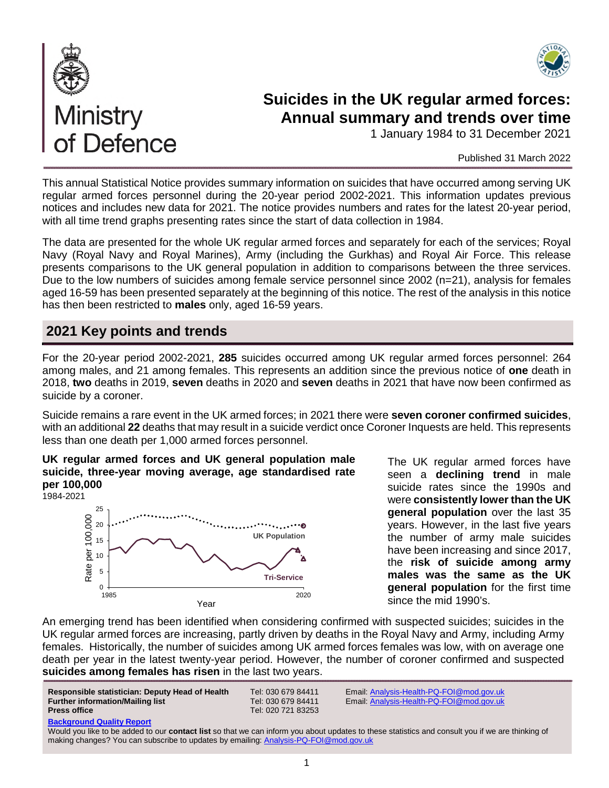



# **Suicides in the UK regular armed forces: Annual summary and trends over time**

1 January 1984 to 31 December 2021

#### Published 31 March 2022

This annual Statistical Notice provides summary information on suicides that have occurred among serving UK regular armed forces personnel during the 20-year period 2002-2021. This information updates previous notices and includes new data for 2021. The notice provides numbers and rates for the latest 20-year period, with all time trend graphs presenting rates since the start of data collection in 1984.

The data are presented for the whole UK regular armed forces and separately for each of the services; Royal Navy (Royal Navy and Royal Marines), Army (including the Gurkhas) and Royal Air Force. This release presents comparisons to the UK general population in addition to comparisons between the three services. Due to the low numbers of suicides among female service personnel since 2002 (n=21), analysis for females aged 16-59 has been presented separately at the beginning of this notice. The rest of the analysis in this notice has then been restricted to **males** only, aged 16-59 years.

# **2021 Key points and trends**

of Defence

For the 20-year period 2002-2021, **285** suicides occurred among UK regular armed forces personnel: 264 among males, and 21 among females. This represents an addition since the previous notice of **one** death in 2018, **two** deaths in 2019, **seven** deaths in 2020 and **seven** deaths in 2021 that have now been confirmed as suicide by a coroner.

Suicide remains a rare event in the UK armed forces; in 2021 there were **seven coroner confirmed suicides**, with an additional **22** deaths that may result in a suicide verdict once Coroner Inquests are held. This represents less than one death per 1,000 armed forces personnel.

#### **UK regular armed forces and UK general population male suicide, three-year moving average, age standardised rate per 100,000**



The UK regular armed forces have seen a **declining trend** in male suicide rates since the 1990s and were **consistently lower than the UK general population** over the last 35 years. However, in the last five years the number of army male suicides have been increasing and since 2017, the **risk of suicide among army males was the same as the UK general population** for the first time since the mid 1990's.

An emerging trend has been identified when considering confirmed with suspected suicides; suicides in the UK regular armed forces are increasing, partly driven by deaths in the Royal Navy and Army, including Army females. Historically, the number of suicides among UK armed forces females was low, with on average one death per year in the latest twenty-year period. However, the number of coroner confirmed and suspected **suicides among females has risen** in the last two years.

| Responsible statistician: Deputy Head of Health<br><b>Further information/Mailing list</b><br><b>Press office</b> | Tel: 030 679 84411<br>Tel: 030 679 84411<br>Tel: 020 721 83253 | Email:<br>Email: |
|-------------------------------------------------------------------------------------------------------------------|----------------------------------------------------------------|------------------|
| <b>Background Quality Report</b>                                                                                  |                                                                |                  |

**Responsible statistician: Deputy Head of Health** Tel: 030 679 84411 Email: [Analysis-Health-PQ-FOI@mod.gov.uk](mailto:Analysis-Health-PQ-FOI@mod.gov.uk)  **Further information/Mailing list** Tel: 030 679 84411 Email: [Analysis-Health-PQ-FOI@mod.gov.uk](mailto:Analysis-Health-PQ-FOI@mod.gov.uk)

Would you like to be added to our **contact list** so that we can inform you about updates to these statistics and consult you if we are thinking of making changes? You can subscribe to updates by emailing[: Analysis-PQ-FOI@mod.gov.uk](mailto:Analysis-PQ-FOI@mod.gov.uk)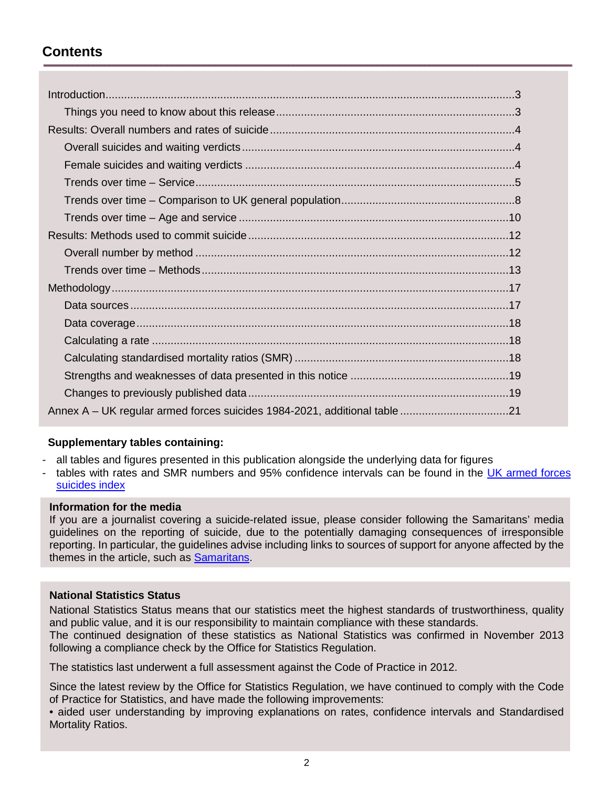# **Contents**

| Annex A – UK regular armed forces suicides 1984-2021, additional table 21 |  |
|---------------------------------------------------------------------------|--|

### **Supplementary tables containing:**

- all tables and figures presented in this publication alongside the underlying data for figures

tables with rates and SMR numbers and 95% confidence intervals can be found in the UK armed forces [suicides index](https://www.gov.uk/government/collections/uk-armed-forces-suicide-and-open-verdict-deaths-index)

### **Information for the media**

If you are a journalist covering a suicide-related issue, please consider following the Samaritans' media guidelines on the reporting of suicide, due to the potentially damaging consequences of irresponsible reporting. In particular, the guidelines advise including links to sources of support for anyone affected by the themes in the article, such as [Samaritans.](https://www.samaritans.org/media-centre/media-guidelines-reporting-suicide)

### **National Statistics Status**

National Statistics Status means that our statistics meet the highest standards of trustworthiness, quality and public value, and it is our responsibility to maintain compliance with these standards. The continued designation of these statistics as National Statistics was confirmed in November 2013 following a compliance check by the Office for Statistics Regulation.

The statistics last underwent a full assessment against the Code of Practice in 2012.

Since the latest review by the Office for Statistics Regulation, we have continued to comply with the Code of Practice for Statistics, and have made the following improvements:

• aided user understanding by improving explanations on rates, confidence intervals and Standardised Mortality Ratios.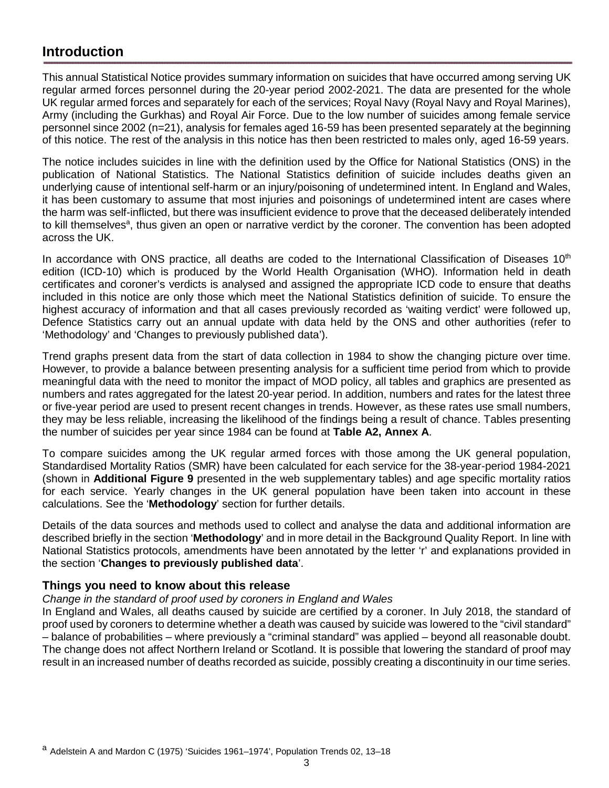# **Introduction**

This annual Statistical Notice provides summary information on suicides that have occurred among serving UK regular armed forces personnel during the 20-year period 2002-2021. The data are presented for the whole UK regular armed forces and separately for each of the services; Royal Navy (Royal Navy and Royal Marines), Army (including the Gurkhas) and Royal Air Force. Due to the low number of suicides among female service personnel since 2002 (n=21), analysis for females aged 16-59 has been presented separately at the beginning of this notice. The rest of the analysis in this notice has then been restricted to males only, aged 16-59 years.

The notice includes suicides in line with the definition used by the Office for National Statistics (ONS) in the publication of National Statistics. The National Statistics definition of suicide includes deaths given an underlying cause of intentional self-harm or an injury/poisoning of undetermined intent. In England and Wales, it has been customary to assume that most injuries and poisonings of undetermined intent are cases where the harm was self-inflicted, but there was insufficient evidence to prove that the deceased deliberately intended to kill themselves<sup>a</sup>, thus given an open or narrative verdict by the coroner. The convention has been adopted across the UK.

In accordance with ONS practice, all deaths are coded to the International Classification of Diseases  $10<sup>th</sup>$ edition (ICD-10) which is produced by the World Health Organisation (WHO). Information held in death certificates and coroner's verdicts is analysed and assigned the appropriate ICD code to ensure that deaths included in this notice are only those which meet the National Statistics definition of suicide. To ensure the highest accuracy of information and that all cases previously recorded as 'waiting verdict' were followed up, Defence Statistics carry out an annual update with data held by the ONS and other authorities (refer to 'Methodology' and 'Changes to previously published data').

Trend graphs present data from the start of data collection in 1984 to show the changing picture over time. However, to provide a balance between presenting analysis for a sufficient time period from which to provide meaningful data with the need to monitor the impact of MOD policy, all tables and graphics are presented as numbers and rates aggregated for the latest 20-year period. In addition, numbers and rates for the latest three or five-year period are used to present recent changes in trends. However, as these rates use small numbers, they may be less reliable, increasing the likelihood of the findings being a result of chance. Tables presenting the number of suicides per year since 1984 can be found at **Table A2, Annex A**.

To compare suicides among the UK regular armed forces with those among the UK general population, Standardised Mortality Ratios (SMR) have been calculated for each service for the 38-year-period 1984-2021 (shown in **Additional Figure 9** presented in the web supplementary tables) and age specific mortality ratios for each service. Yearly changes in the UK general population have been taken into account in these calculations. See the '**Methodology**' section for further details.

Details of the data sources and methods used to collect and analyse the data and additional information are described briefly in the section '**Methodology**' and in more detail in the Background Quality Report. In line with National Statistics protocols, amendments have been annotated by the letter 'r' and explanations provided in the section '**Changes to previously published data**'.

## **Things you need to know about this release**

### *Change in the standard of proof used by coroners in England and Wales*

In England and Wales, all deaths caused by suicide are certified by a coroner. In July 2018, the standard of proof used by coroners to determine whether a death was caused by suicide was lowered to the "civil standard" – balance of probabilities – where previously a "criminal standard" was applied – beyond all reasonable doubt. The change does not affect Northern Ireland or Scotland. It is possible that lowering the standard of proof may result in an increased number of deaths recorded as suicide, possibly creating a discontinuity in our time series.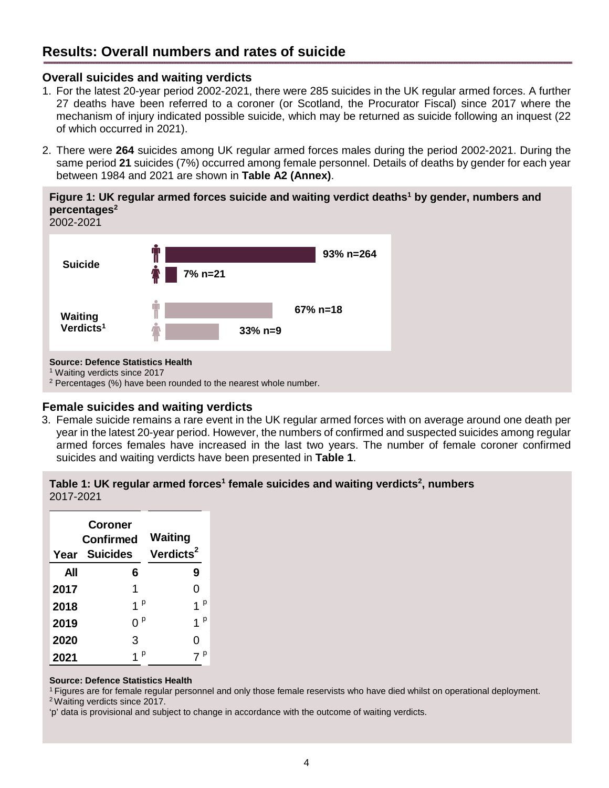# **Results: Overall numbers and rates of suicide**

### <span id="page-3-0"></span>**Overall suicides and waiting verdicts**

- 1. For the latest 20-year period 2002-2021, there were 285 suicides in the UK regular armed forces. A further 27 deaths have been referred to a coroner (or Scotland, the Procurator Fiscal) since 2017 where the mechanism of injury indicated possible suicide, which may be returned as suicide following an inquest (22 of which occurred in 2021).
- 2. There were **264** suicides among UK regular armed forces males during the period 2002-2021. During the same period **21** suicides (7%) occurred among female personnel. Details of deaths by gender for each year between 1984 and 2021 are shown in **Table A2 (Annex)**.

**Figure 1: UK regular armed forces suicide and waiting verdict deaths<sup>1</sup> by gender, numbers and percentages<sup>2</sup>**



1 Waiting verdicts since 2017

<sup>2</sup> Percentages (%) have been rounded to the nearest whole number.

### **Female suicides and waiting verdicts**

3. Female suicide remains a rare event in the UK regular armed forces with on average around one death per year in the latest 20-year period. However, the numbers of confirmed and suspected suicides among regular armed forces females have increased in the last two years. The number of female coroner confirmed suicides and waiting verdicts have been presented in **Table 1**.

#### **Table 1: UK regular armed forces<sup>1</sup> female suicides and waiting verdicts<sup>2</sup> , numbers**  2017-2021

| Year | Coroner<br>Confirmed<br><b>Suicides</b> | <b>Waiting</b><br>Verdicts <sup>2</sup> |  |  |
|------|-----------------------------------------|-----------------------------------------|--|--|
| All  | 6                                       | 9                                       |  |  |
| 2017 | 1                                       | 0                                       |  |  |
| 2018 | 1 <sup>p</sup>                          | p                                       |  |  |
| 2019 | p<br>ი                                  | 1                                       |  |  |
| 2020 | 3                                       | 0                                       |  |  |
| 2021 | р                                       |                                         |  |  |

#### **Source: Defence Statistics Health**

<sup>1</sup>Figures are for female regular personnel and only those female reservists who have died whilst on operational deployment.

<sup>2</sup>Waiting verdicts since 2017.

'p' data is provisional and subject to change in accordance with the outcome of waiting verdicts.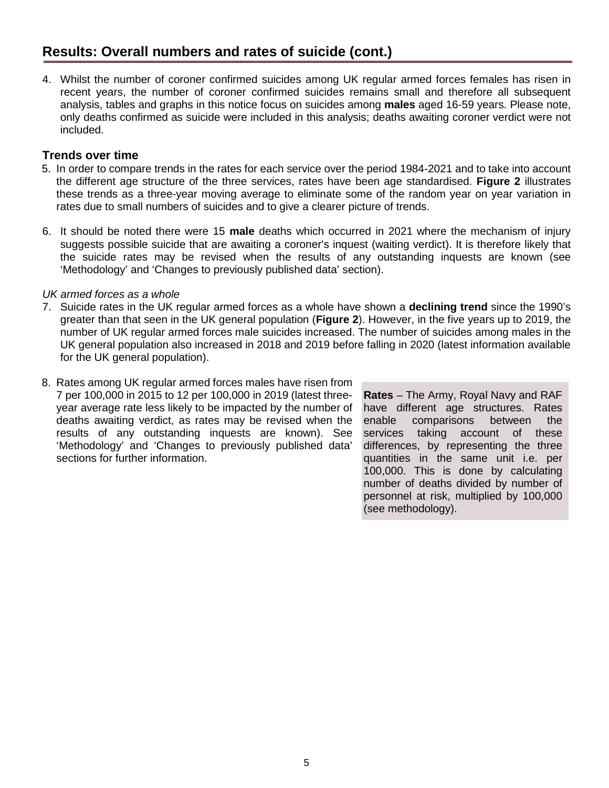4. Whilst the number of coroner confirmed suicides among UK regular armed forces females has risen in recent years, the number of coroner confirmed suicides remains small and therefore all subsequent analysis, tables and graphs in this notice focus on suicides among **males** aged 16-59 years. Please note, only deaths confirmed as suicide were included in this analysis; deaths awaiting coroner verdict were not included.

## <span id="page-4-0"></span>**Trends over time**

- 5. In order to compare trends in the rates for each service over the period 1984-2021 and to take into account the different age structure of the three services, rates have been age standardised. **Figure 2** illustrates these trends as a three-year moving average to eliminate some of the random year on year variation in rates due to small numbers of suicides and to give a clearer picture of trends.
- 6. It should be noted there were 15 **male** deaths which occurred in 2021 where the mechanism of injury suggests possible suicide that are awaiting a coroner's inquest (waiting verdict). It is therefore likely that the suicide rates may be revised when the results of any outstanding inquests are known (see 'Methodology' and 'Changes to previously published data' section).

### *UK armed forces as a whole*

- 7. Suicide rates in the UK regular armed forces as a whole have shown a **declining trend** since the 1990's greater than that seen in the UK general population (**Figure 2**). However, in the five years up to 2019, the number of UK regular armed forces male suicides increased. The number of suicides among males in the UK general population also increased in 2018 and 2019 before falling in 2020 (latest information available for the UK general population).
- 8. Rates among UK regular armed forces males have risen from 7 per 100,000 in 2015 to 12 per 100,000 in 2019 (latest threeyear average rate less likely to be impacted by the number of deaths awaiting verdict, as rates may be revised when the results of any outstanding inquests are known). See 'Methodology' and 'Changes to previously published data' sections for further information.

**Rates** – The Army, Royal Navy and RAF have different age structures. Rates enable comparisons between the services taking account of these differences, by representing the three quantities in the same unit i.e. per 100,000. This is done by calculating number of deaths divided by number of personnel at risk, multiplied by 100,000 (see methodology).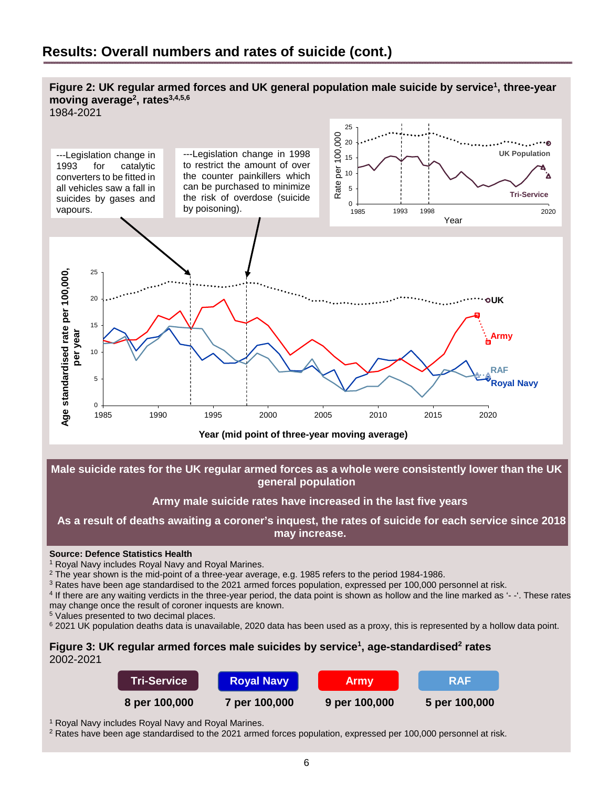#### **Figure 2: UK regular armed forces and UK general population male suicide by service<sup>1</sup> , three-year moving average<sup>2</sup> , rates3,4,5,6**





**Male suicide rates for the UK regular armed forces as a whole were consistently lower than the UK general population** 

### **Army male suicide rates have increased in the last five years**

 **As a result of deaths awaiting a coroner's inquest, the rates of suicide for each service since 2018 may increase.** 

#### **Source: Defence Statistics Health**

<sup>1</sup> Royal Navy includes Royal Navy and Royal Marines.

 $^2$  The year shown is the mid-point of a three-year average, e.g. 1985 refers to the period 1984-1986.

 $3$  Rates have been age standardised to the 2021 armed forces population, expressed per 100,000 personnel at risk.

4 If there are any waiting verdicts in the three-year period, the data point is shown as hollow and the line marked as '- -'. These rates may change once the result of coroner inquests are known.

5 Values presented to two decimal places.

<sup>6</sup> 2021 UK population deaths data is unavailable, 2020 data has been used as a proxy, this is represented by a hollow data point.

### **Figure 3: UK regular armed forces male suicides by service<sup>1</sup> , age-standardised<sup>2</sup> rates**  2002-2021

| <b>Tri-Service</b> \ | <b>Royal Navy</b> | <b>Army</b>   | <b>RAF</b>    |
|----------------------|-------------------|---------------|---------------|
| 8 per 100,000        | 7 per 100,000     | 9 per 100,000 | 5 per 100,000 |

<sup>1</sup> Royal Navy includes Royal Navy and Royal Marines.

 $2$  Rates have been age standardised to the 2021 armed forces population, expressed per 100,000 personnel at risk.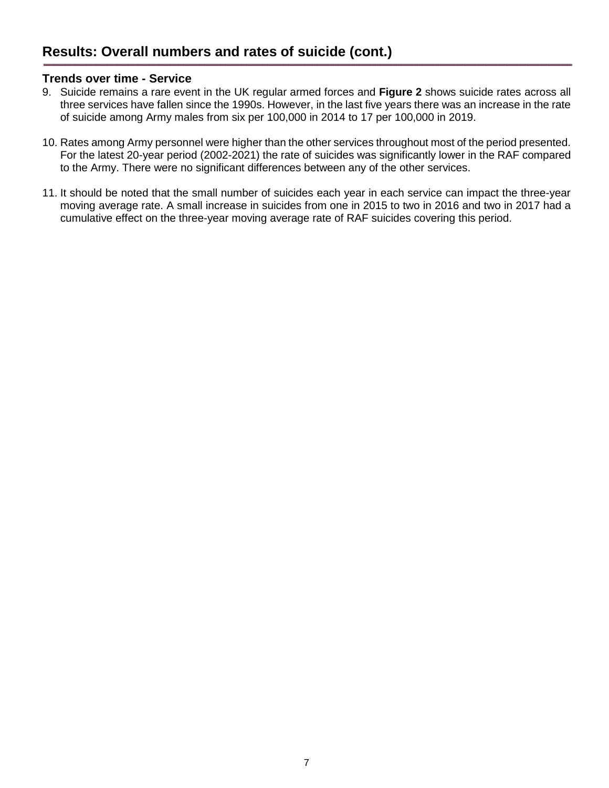### **Trends over time - Service**

- 9. Suicide remains a rare event in the UK regular armed forces and **Figure 2** shows suicide rates across all three services have fallen since the 1990s. However, in the last five years there was an increase in the rate of suicide among Army males from six per 100,000 in 2014 to 17 per 100,000 in 2019.
- 10. Rates among Army personnel were higher than the other services throughout most of the period presented. For the latest 20-year period (2002-2021) the rate of suicides was significantly lower in the RAF compared to the Army. There were no significant differences between any of the other services.
- 11. It should be noted that the small number of suicides each year in each service can impact the three-year moving average rate. A small increase in suicides from one in 2015 to two in 2016 and two in 2017 had a cumulative effect on the three-year moving average rate of RAF suicides covering this period.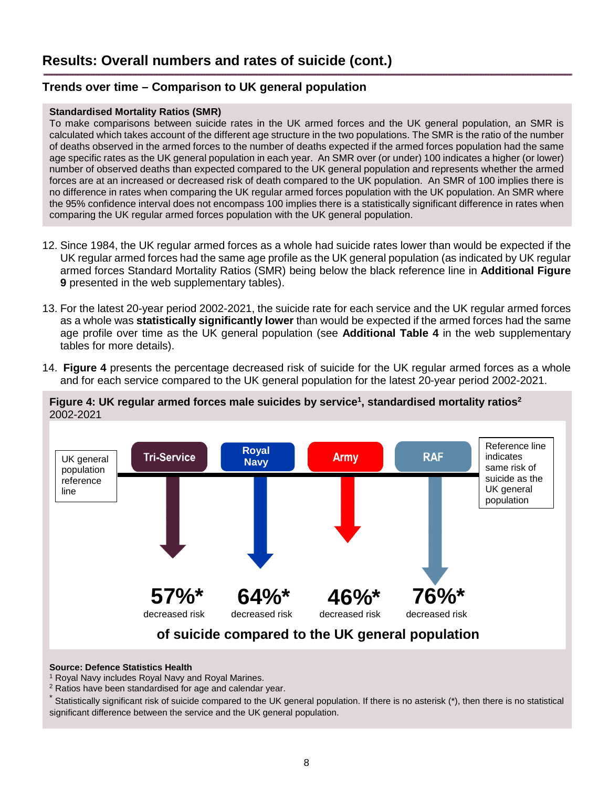## <span id="page-7-0"></span>**Trends over time – Comparison to UK general population**

#### **Standardised Mortality Ratios (SMR)**

To make comparisons between suicide rates in the UK armed forces and the UK general population, an SMR is calculated which takes account of the different age structure in the two populations. The SMR is the ratio of the number of deaths observed in the armed forces to the number of deaths expected if the armed forces population had the same age specific rates as the UK general population in each year. An SMR over (or under) 100 indicates a higher (or lower) number of observed deaths than expected compared to the UK general population and represents whether the armed forces are at an increased or decreased risk of death compared to the UK population. An SMR of 100 implies there is no difference in rates when comparing the UK regular armed forces population with the UK population. An SMR where the 95% confidence interval does not encompass 100 implies there is a statistically significant difference in rates when comparing the UK regular armed forces population with the UK general population.

- 12. Since 1984, the UK regular armed forces as a whole had suicide rates lower than would be expected if the UK regular armed forces had the same age profile as the UK general population (as indicated by UK regular armed forces Standard Mortality Ratios (SMR) being below the black reference line in **Additional Figure 9** presented in the web supplementary tables).
- 13. For the latest 20-year period 2002-2021, the suicide rate for each service and the UK regular armed forces as a whole was **statistically significantly lower** than would be expected if the armed forces had the same age profile over time as the UK general population (see **Additional Table 4** in the web supplementary tables for more details).
- 14. **Figure 4** presents the percentage decreased risk of suicide for the UK regular armed forces as a whole and for each service compared to the UK general population for the latest 20-year period 2002-2021.





#### **Source: Defence Statistics Health**

<sup>1</sup> Royal Navy includes Royal Navy and Royal Marines.

<sup>2</sup> Ratios have been standardised for age and calendar year.

\* Statistically significant risk of suicide compared to the UK general population. If there is no asterisk (\*), then there is no statistical significant difference between the service and the UK general population.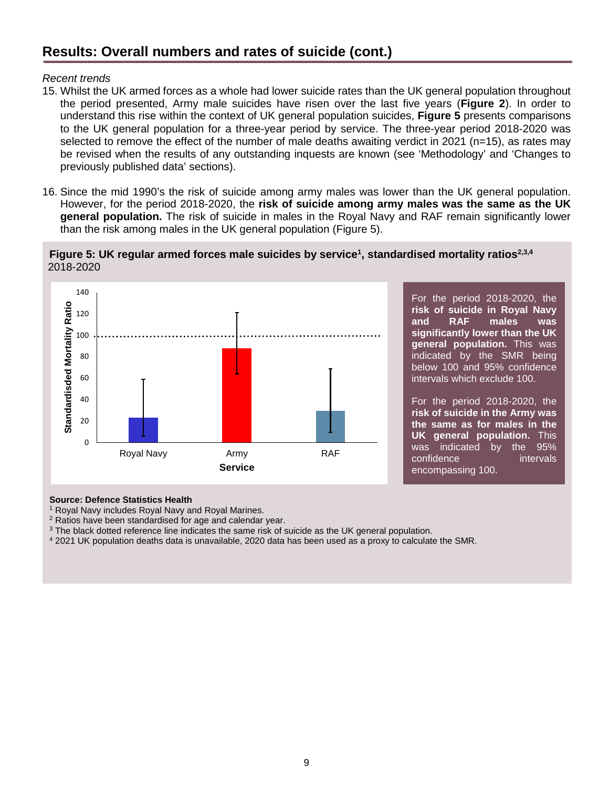# **Results: Overall numbers and rates of suicide (cont.)**

#### *Recent trends*

- 15. Whilst the UK armed forces as a whole had lower suicide rates than the UK general population throughout the period presented, Army male suicides have risen over the last five years (**Figure 2**). In order to understand this rise within the context of UK general population suicides, **Figure 5** presents comparisons to the UK general population for a three-year period by service. The three-year period 2018-2020 was selected to remove the effect of the number of male deaths awaiting verdict in 2021 (n=15), as rates may be revised when the results of any outstanding inquests are known (see 'Methodology' and 'Changes to previously published data' sections).
- 16. Since the mid 1990's the risk of suicide among army males was lower than the UK general population. However, for the period 2018-2020, the **risk of suicide among army males was the same as the UK general population.** The risk of suicide in males in the Royal Navy and RAF remain significantly lower than the risk among males in the UK general population (Figure 5).





For the period 2018-2020, the **risk of suicide in Royal Navy and RAF males was significantly lower than the UK general population.** This was indicated by the SMR being below 100 and 95% confidence intervals which exclude 100.

For the period 2018-2020, the **risk of suicide in the Army was the same as for males in the UK general population.** This was indicated by the 95% confidence intervals encompassing 100.

#### **Source: Defence Statistics Health**

<sup>1</sup> Royal Navy includes Royal Navy and Royal Marines.

<sup>2</sup> Ratios have been standardised for age and calendar year.

 $3$  The black dotted reference line indicates the same risk of suicide as the UK general population.

4 2021 UK population deaths data is unavailable, 2020 data has been used as a proxy to calculate the SMR.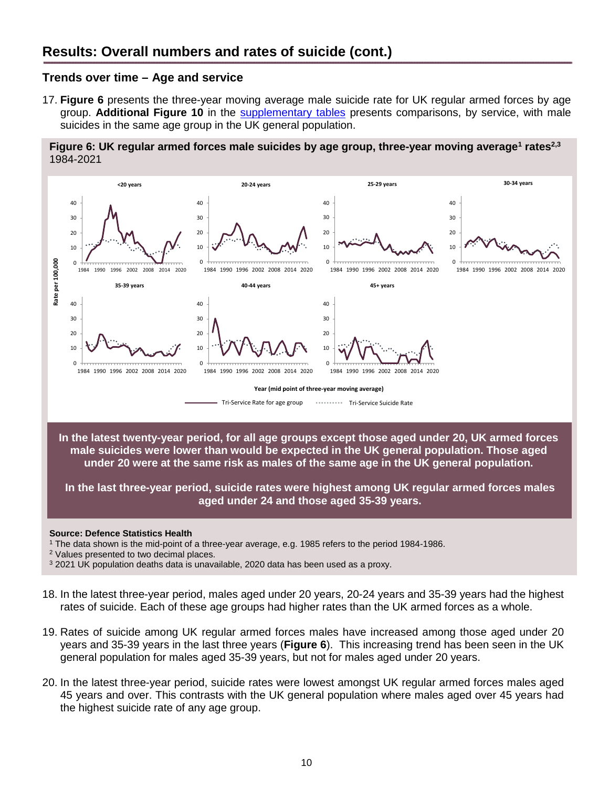### <span id="page-9-0"></span>**Trends over time – Age and service**

17. **Figure 6** presents the three-year moving average male suicide rate for UK regular armed forces by age group. **Additional Figure 10** in the [supplementary tables](https://www.gov.uk/government/collections/uk-armed-forces-suicide-and-open-verdict-deaths-index) presents comparisons, by service, with male suicides in the same age group in the UK general population.

**Figure 6: UK regular armed forces male suicides by age group, three-year moving average<sup>1</sup> rates2,3** 1984-2021



#### **Source: Defence Statistics Health**

1 The data shown is the mid-point of a three-year average, e.g. 1985 refers to the period 1984-1986.

<sup>2</sup> Values presented to two decimal places.

<sup>3</sup> 2021 UK population deaths data is unavailable, 2020 data has been used as a proxy.

- 18. In the latest three-year period, males aged under 20 years, 20-24 years and 35-39 years had the highest rates of suicide. Each of these age groups had higher rates than the UK armed forces as a whole.
- 19. Rates of suicide among UK regular armed forces males have increased among those aged under 20 years and 35-39 years in the last three years (**Figure 6**). This increasing trend has been seen in the UK general population for males aged 35-39 years, but not for males aged under 20 years.
- 20. In the latest three-year period, suicide rates were lowest amongst UK regular armed forces males aged 45 years and over. This contrasts with the UK general population where males aged over 45 years had the highest suicide rate of any age group.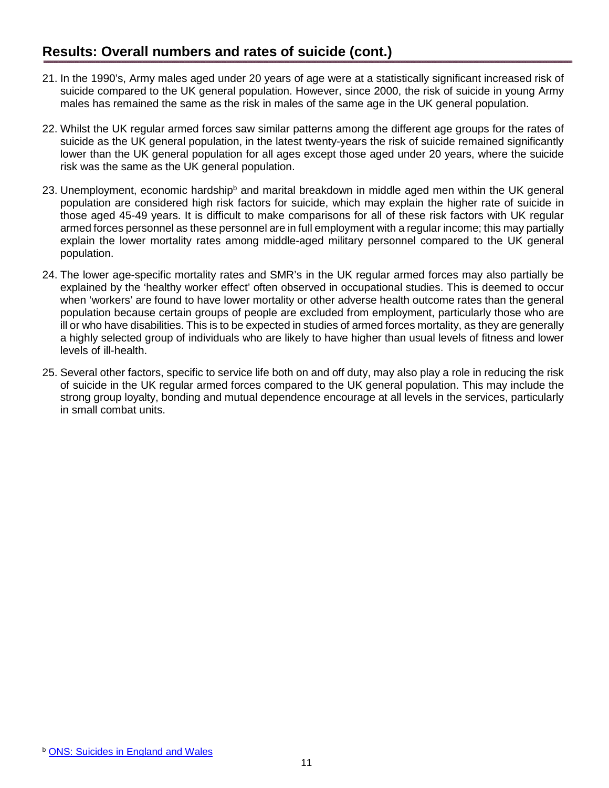- 21. In the 1990's, Army males aged under 20 years of age were at a statistically significant increased risk of suicide compared to the UK general population. However, since 2000, the risk of suicide in young Army males has remained the same as the risk in males of the same age in the UK general population.
- 22. Whilst the UK regular armed forces saw similar patterns among the different age groups for the rates of suicide as the UK general population, in the latest twenty-years the risk of suicide remained significantly lower than the UK general population for all ages except those aged under 20 years, where the suicide risk was the same as the UK general population.
- 23. Unemployment, economic hardship<sup>b</sup> and marital breakdown in middle aged men within the UK general population are considered high risk factors for suicide, which may explain the higher rate of suicide in those aged 45-49 years. It is difficult to make comparisons for all of these risk factors with UK regular armed forces personnel as these personnel are in full employment with a regular income; this may partially explain the lower mortality rates among middle-aged military personnel compared to the UK general population.
- 24. The lower age-specific mortality rates and SMR's in the UK regular armed forces may also partially be explained by the 'healthy worker effect' often observed in occupational studies. This is deemed to occur when 'workers' are found to have lower mortality or other adverse health outcome rates than the general population because certain groups of people are excluded from employment, particularly those who are ill or who have disabilities. This is to be expected in studies of armed forces mortality, as they are generally a highly selected group of individuals who are likely to have higher than usual levels of fitness and lower levels of ill-health.
- 25. Several other factors, specific to service life both on and off duty, may also play a role in reducing the risk of suicide in the UK regular armed forces compared to the UK general population. This may include the strong group loyalty, bonding and mutual dependence encourage at all levels in the services, particularly in small combat units.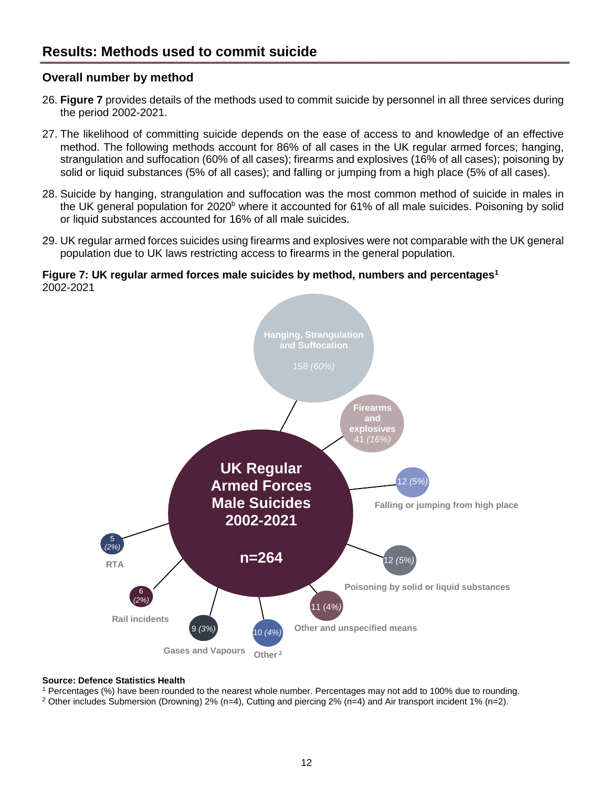## <span id="page-11-1"></span><span id="page-11-0"></span>**Overall number by method**

- 26. **Figure 7** provides details of the methods used to commit suicide by personnel in all three services during the period 2002-2021.
- 27. The likelihood of committing suicide depends on the ease of access to and knowledge of an effective method. The following methods account for 86% of all cases in the UK regular armed forces; hanging, strangulation and suffocation (60% of all cases); firearms and explosives (16% of all cases); poisoning by solid or liquid substances (5% of all cases); and falling or jumping from a high place (5% of all cases).
- 28. Suicide by hanging, strangulation and suffocation was the most common method of suicide in males in the UK general population for 2020<sup>b</sup> where it accounted for 61% of all male suicides. Poisoning by solid or liquid substances accounted for 16% of all male suicides.
- 29. UK regular armed forces suicides using firearms and explosives were not comparable with the UK general population due to UK laws restricting access to firearms in the general population.

#### **Figure 7: UK regular armed forces male suicides by method, numbers and percentages<sup>1</sup>** 2002-2021



#### **Source: Defence Statistics Health**

1 Percentages (%) have been rounded to the nearest whole number. Percentages may not add to 100% due to rounding.

2 Other includes Submersion (Drowning) 2% (n=4), Cutting and piercing 2% (n=4) and Air transport incident 1% (n=2).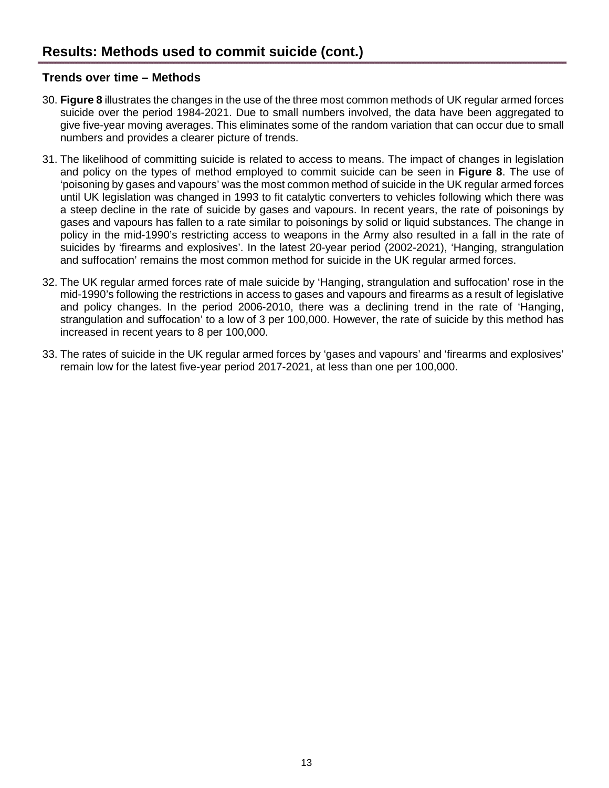## <span id="page-12-0"></span>**Trends over time – Methods**

- 30. **Figure 8** illustrates the changes in the use of the three most common methods of UK regular armed forces suicide over the period 1984-2021. Due to small numbers involved, the data have been aggregated to give five-year moving averages. This eliminates some of the random variation that can occur due to small numbers and provides a clearer picture of trends.
- 31. The likelihood of committing suicide is related to access to means. The impact of changes in legislation and policy on the types of method employed to commit suicide can be seen in **Figure 8**. The use of 'poisoning by gases and vapours' was the most common method of suicide in the UK regular armed forces until UK legislation was changed in 1993 to fit catalytic converters to vehicles following which there was a steep decline in the rate of suicide by gases and vapours. In recent years, the rate of poisonings by gases and vapours has fallen to a rate similar to poisonings by solid or liquid substances. The change in policy in the mid-1990's restricting access to weapons in the Army also resulted in a fall in the rate of suicides by 'firearms and explosives'. In the latest 20-year period (2002-2021), 'Hanging, strangulation and suffocation' remains the most common method for suicide in the UK regular armed forces.
- 32. The UK regular armed forces rate of male suicide by 'Hanging, strangulation and suffocation' rose in the mid-1990's following the restrictions in access to gases and vapours and firearms as a result of legislative and policy changes. In the period 2006-2010, there was a declining trend in the rate of 'Hanging, strangulation and suffocation' to a low of 3 per 100,000. However, the rate of suicide by this method has increased in recent years to 8 per 100,000.
- 33. The rates of suicide in the UK regular armed forces by 'gases and vapours' and 'firearms and explosives' remain low for the latest five-year period 2017-2021, at less than one per 100,000.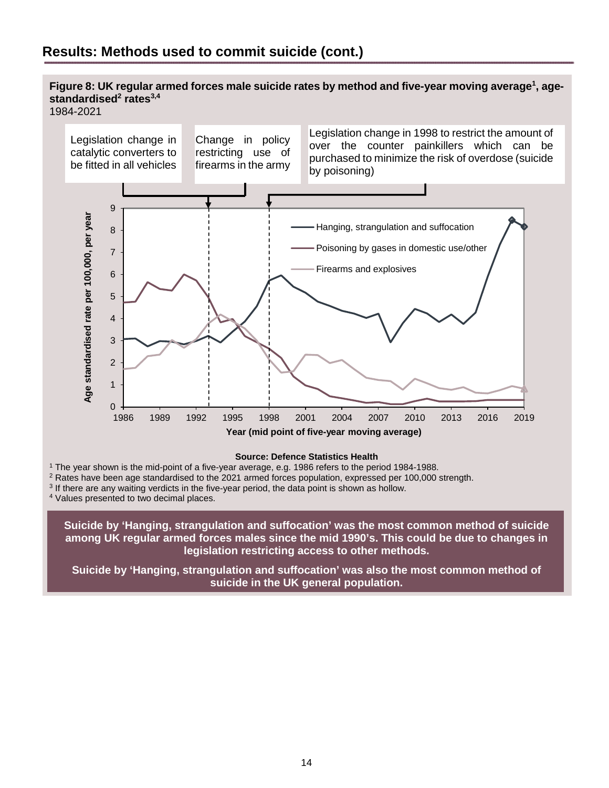# **Results: Methods used to commit suicide (cont.)**

### Figure 8: UK regular armed forces male suicide rates by method and five-year moving average<sup>1</sup>, age**standardised<sup>2</sup> rates3,4**

1984-2021



#### **Source: Defence Statistics Health**

1 The year shown is the mid-point of a five-year average, e.g. 1986 refers to the period 1984-1988.

<sup>2</sup> Rates have been age standardised to the 2021 armed forces population, expressed per 100,000 strength.

<sup>3</sup> If there are any waiting verdicts in the five-year period, the data point is shown as hollow.

4 Values presented to two decimal places.

**Suicide by 'Hanging, strangulation and suffocation' was the most common method of suicide among UK regular armed forces males since the mid 1990's. This could be due to changes in legislation restricting access to other methods.** 

**Suicide by 'Hanging, strangulation and suffocation' was also the most common method of suicide in the UK general population.**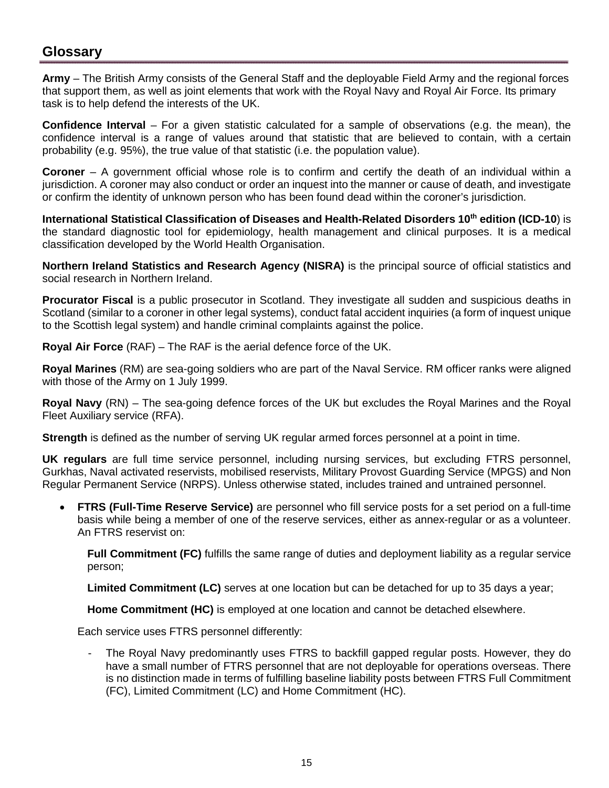# **Glossary**

**Army** – The British Army consists of the General Staff and the deployable Field Army and the regional forces that support them, as well as joint elements that work with the Royal Navy and Royal Air Force. Its primary task is to help defend the interests of the UK.

**Confidence Interval** – For a given statistic calculated for a sample of observations (e.g. the mean), the confidence interval is a range of values around that statistic that are believed to contain, with a certain probability (e.g. 95%), the true value of that statistic (i.e. the population value).

**Coroner** – A government official whose role is to confirm and certify the death of an individual within a jurisdiction. A coroner may also conduct or order an inquest into the manner or cause of death, and investigate or confirm the identity of unknown person who has been found dead within the coroner's jurisdiction.

**International Statistical Classification of Diseases and Health-Related Disorders 10th edition (ICD-10**) is the standard diagnostic tool for epidemiology, health management and clinical purposes. It is a medical classification developed by the World Health Organisation.

**Northern Ireland Statistics and Research Agency (NISRA)** is the principal source of official statistics and social research in Northern Ireland.

**Procurator Fiscal** is a public prosecutor in Scotland. They investigate all sudden and suspicious deaths in Scotland (similar to a coroner in other legal systems), conduct fatal accident inquiries (a form of inquest unique to the Scottish legal system) and handle criminal complaints against the police.

**Royal Air Force** (RAF) – The RAF is the aerial defence force of the UK.

**Royal Marines** (RM) are sea-going soldiers who are part of the Naval Service. RM officer ranks were aligned with those of the Army on 1 July 1999.

**Royal Navy** (RN) – The sea-going defence forces of the UK but excludes the Royal Marines and the Royal Fleet Auxiliary service (RFA).

**Strength** is defined as the number of serving UK regular armed forces personnel at a point in time.

**UK regulars** are full time service personnel, including nursing services, but excluding FTRS personnel, Gurkhas, Naval activated reservists, mobilised reservists, Military Provost Guarding Service (MPGS) and Non Regular Permanent Service (NRPS). Unless otherwise stated, includes trained and untrained personnel.

• **FTRS (Full-Time Reserve Service)** are personnel who fill service posts for a set period on a full-time basis while being a member of one of the reserve services, either as annex-regular or as a volunteer. An FTRS reservist on:

**Full Commitment (FC)** fulfills the same range of duties and deployment liability as a regular service person;

**Limited Commitment (LC)** serves at one location but can be detached for up to 35 days a year;

**Home Commitment (HC)** is employed at one location and cannot be detached elsewhere.

Each service uses FTRS personnel differently:

The Royal Navy predominantly uses FTRS to backfill gapped regular posts. However, they do have a small number of FTRS personnel that are not deployable for operations overseas. There is no distinction made in terms of fulfilling baseline liability posts between FTRS Full Commitment (FC), Limited Commitment (LC) and Home Commitment (HC).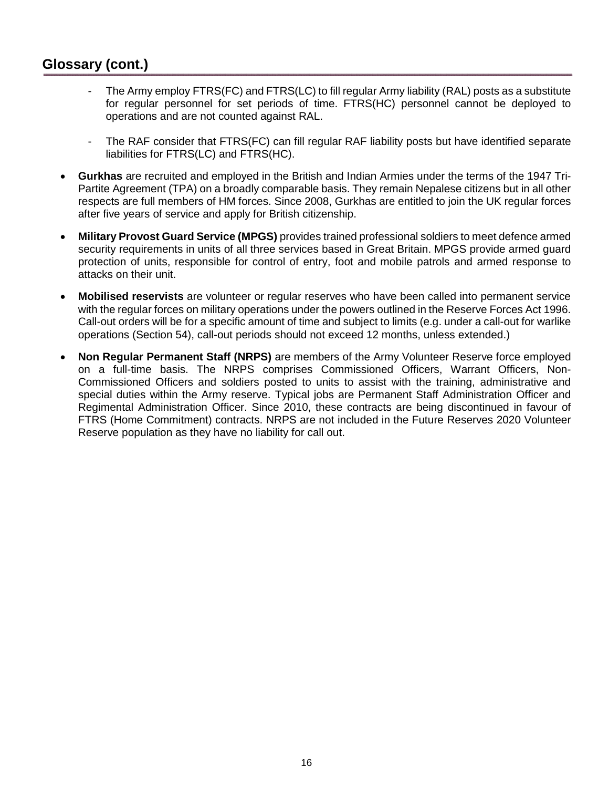# **Glossary (cont.)**

- The Army employ FTRS(FC) and FTRS(LC) to fill regular Army liability (RAL) posts as a substitute for regular personnel for set periods of time. FTRS(HC) personnel cannot be deployed to operations and are not counted against RAL.
- The RAF consider that FTRS(FC) can fill regular RAF liability posts but have identified separate liabilities for FTRS(LC) and FTRS(HC).
- **Gurkhas** are recruited and employed in the British and Indian Armies under the terms of the 1947 Tri-Partite Agreement (TPA) on a broadly comparable basis. They remain Nepalese citizens but in all other respects are full members of HM forces. Since 2008, Gurkhas are entitled to join the UK regular forces after five years of service and apply for British citizenship.
- **Military Provost Guard Service (MPGS)** provides trained professional soldiers to meet defence armed security requirements in units of all three services based in Great Britain. MPGS provide armed guard protection of units, responsible for control of entry, foot and mobile patrols and armed response to attacks on their unit.
- **Mobilised reservists** are volunteer or regular reserves who have been called into permanent service with the regular forces on military operations under the powers outlined in the Reserve Forces Act 1996. Call-out orders will be for a specific amount of time and subject to limits (e.g. under a call-out for warlike operations (Section 54), call-out periods should not exceed 12 months, unless extended.)
- **Non Regular Permanent Staff (NRPS)** are members of the Army Volunteer Reserve force employed on a full-time basis. The NRPS comprises Commissioned Officers, Warrant Officers, Non-Commissioned Officers and soldiers posted to units to assist with the training, administrative and special duties within the Army reserve. Typical jobs are Permanent Staff Administration Officer and Regimental Administration Officer. Since 2010, these contracts are being discontinued in favour of FTRS (Home Commitment) contracts. NRPS are not included in the Future Reserves 2020 Volunteer Reserve population as they have no liability for call out.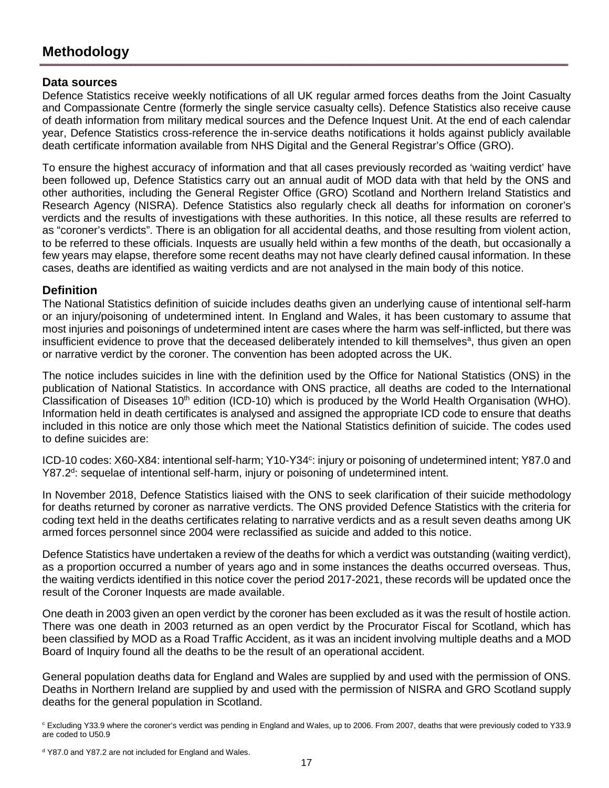# <span id="page-16-0"></span>**Methodology**

### <span id="page-16-1"></span>**Data sources**

Defence Statistics receive weekly notifications of all UK regular armed forces deaths from the Joint Casualty and Compassionate Centre (formerly the single service casualty cells). Defence Statistics also receive cause of death information from military medical sources and the Defence Inquest Unit. At the end of each calendar year, Defence Statistics cross-reference the in-service deaths notifications it holds against publicly available death certificate information available from NHS Digital and the General Registrar's Office (GRO).

To ensure the highest accuracy of information and that all cases previously recorded as 'waiting verdict' have been followed up, Defence Statistics carry out an annual audit of MOD data with that held by the ONS and other authorities, including the General Register Office (GRO) Scotland and Northern Ireland Statistics and Research Agency (NISRA). Defence Statistics also regularly check all deaths for information on coroner's verdicts and the results of investigations with these authorities. In this notice, all these results are referred to as "coroner's verdicts". There is an obligation for all accidental deaths, and those resulting from violent action, to be referred to these officials. Inquests are usually held within a few months of the death, but occasionally a few years may elapse, therefore some recent deaths may not have clearly defined causal information. In these cases, deaths are identified as waiting verdicts and are not analysed in the main body of this notice.

### **Definition**

The National Statistics definition of suicide includes deaths given an underlying cause of intentional self-harm or an injury/poisoning of undetermined intent. In England and Wales, it has been customary to assume that most injuries and poisonings of undetermined intent are cases where the harm was self-inflicted, but there was insufficient evidence to prove that the deceased deliberately intended to kill themselves<sup>a</sup>, thus given an open or narrative verdict by the coroner. The convention has been adopted across the UK.

The notice includes suicides in line with the definition used by the Office for National Statistics (ONS) in the publication of National Statistics. In accordance with ONS practice, all deaths are coded to the International Classification of Diseases 10<sup>th</sup> edition (ICD-10) which is produced by the World Health Organisation (WHO). Information held in death certificates is analysed and assigned the appropriate ICD code to ensure that deaths included in this notice are only those which meet the National Statistics definition of suicide. The codes used to define suicides are:

ICD-10 codes: X60-X84: intentional self-harm; Y10-Y34<sup>c</sup>: injury or poisoning of undetermined intent; Y87.0 and Y87.2<sup>d</sup>: sequelae of intentional self-harm, injury or poisoning of undetermined intent.

In November 2018, Defence Statistics liaised with the ONS to seek clarification of their suicide methodology for deaths returned by coroner as narrative verdicts. The ONS provided Defence Statistics with the criteria for coding text held in the deaths certificates relating to narrative verdicts and as a result seven deaths among UK armed forces personnel since 2004 were reclassified as suicide and added to this notice.

Defence Statistics have undertaken a review of the deaths for which a verdict was outstanding (waiting verdict), as a proportion occurred a number of years ago and in some instances the deaths occurred overseas. Thus, the waiting verdicts identified in this notice cover the period 2017-2021, these records will be updated once the result of the Coroner Inquests are made available.

One death in 2003 given an open verdict by the coroner has been excluded as it was the result of hostile action. There was one death in 2003 returned as an open verdict by the Procurator Fiscal for Scotland, which has been classified by MOD as a Road Traffic Accident, as it was an incident involving multiple deaths and a MOD Board of Inquiry found all the deaths to be the result of an operational accident.

General population deaths data for England and Wales are supplied by and used with the permission of ONS. Deaths in Northern Ireland are supplied by and used with the permission of NISRA and GRO Scotland supply deaths for the general population in Scotland.

c Excluding Y33.9 where the coroner's verdict was pending in England and Wales, up to 2006. From 2007, deaths that were previously coded to Y33.9 are coded to U50.9

<sup>&</sup>lt;sup>d</sup> Y87.0 and Y87.2 are not included for England and Wales.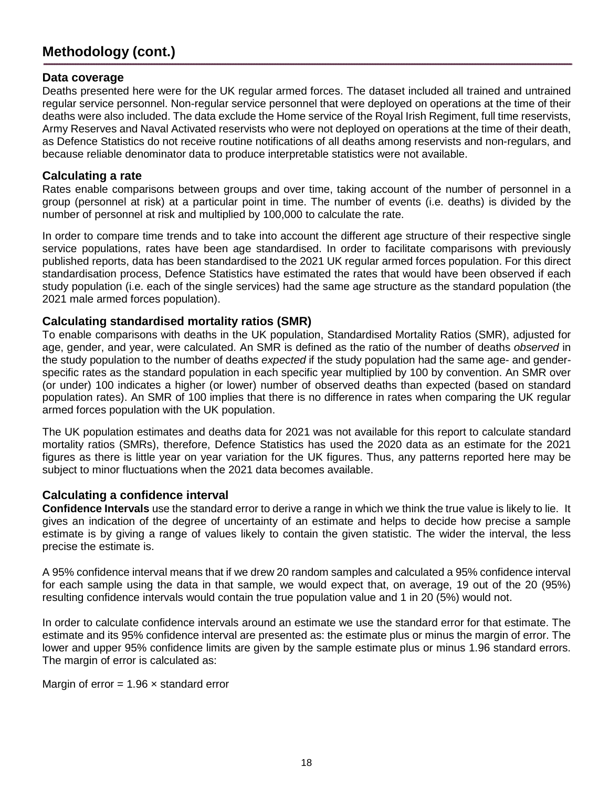# **Methodology (cont.)**

#### <span id="page-17-0"></span>**Data coverage**

Deaths presented here were for the UK regular armed forces. The dataset included all trained and untrained regular service personnel. Non-regular service personnel that were deployed on operations at the time of their deaths were also included. The data exclude the Home service of the Royal Irish Regiment, full time reservists, Army Reserves and Naval Activated reservists who were not deployed on operations at the time of their death, as Defence Statistics do not receive routine notifications of all deaths among reservists and non-regulars, and because reliable denominator data to produce interpretable statistics were not available.

#### <span id="page-17-1"></span>**Calculating a rate**

Rates enable comparisons between groups and over time, taking account of the number of personnel in a group (personnel at risk) at a particular point in time. The number of events (i.e. deaths) is divided by the number of personnel at risk and multiplied by 100,000 to calculate the rate.

In order to compare time trends and to take into account the different age structure of their respective single service populations, rates have been age standardised. In order to facilitate comparisons with previously published reports, data has been standardised to the 2021 UK regular armed forces population. For this direct standardisation process, Defence Statistics have estimated the rates that would have been observed if each study population (i.e. each of the single services) had the same age structure as the standard population (the 2021 male armed forces population).

#### <span id="page-17-2"></span>**Calculating standardised mortality ratios (SMR)**

To enable comparisons with deaths in the UK population, Standardised Mortality Ratios (SMR), adjusted for age, gender, and year, were calculated. An SMR is defined as the ratio of the number of deaths *observed* in the study population to the number of deaths *expected* if the study population had the same age- and genderspecific rates as the standard population in each specific year multiplied by 100 by convention. An SMR over (or under) 100 indicates a higher (or lower) number of observed deaths than expected (based on standard population rates). An SMR of 100 implies that there is no difference in rates when comparing the UK regular armed forces population with the UK population.

The UK population estimates and deaths data for 2021 was not available for this report to calculate standard mortality ratios (SMRs), therefore, Defence Statistics has used the 2020 data as an estimate for the 2021 figures as there is little year on year variation for the UK figures. Thus, any patterns reported here may be subject to minor fluctuations when the 2021 data becomes available.

### **Calculating a confidence interval**

**Confidence Intervals** use the standard error to derive a range in which we think the true value is likely to lie. It gives an indication of the degree of uncertainty of an estimate and helps to decide how precise a sample estimate is by giving a range of values likely to contain the given statistic. The wider the interval, the less precise the estimate is.

A 95% confidence interval means that if we drew 20 random samples and calculated a 95% confidence interval for each sample using the data in that sample, we would expect that, on average, 19 out of the 20 (95%) resulting confidence intervals would contain the true population value and 1 in 20 (5%) would not.

In order to calculate confidence intervals around an estimate we use the standard error for that estimate. The estimate and its 95% confidence interval are presented as: the estimate plus or minus the margin of error. The lower and upper 95% confidence limits are given by the sample estimate plus or minus 1.96 standard errors. The margin of error is calculated as:

Margin of error =  $1.96 \times$  standard error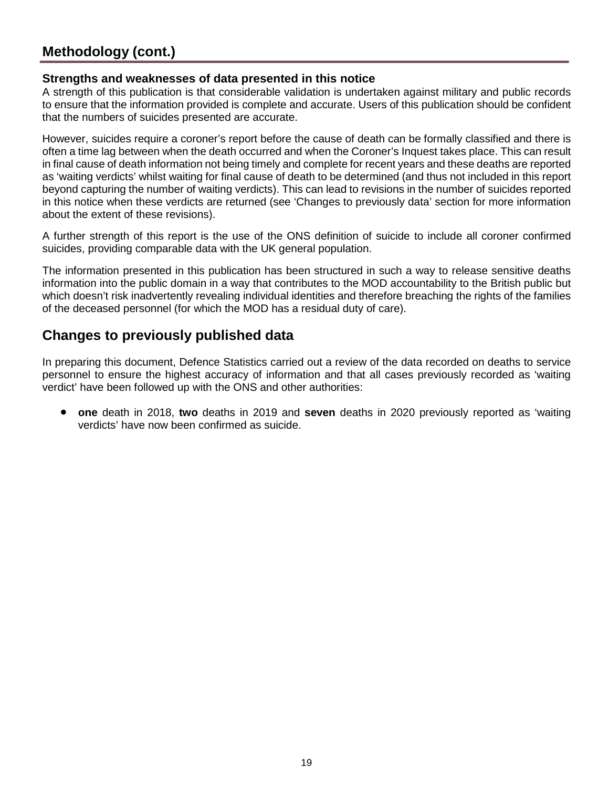# <span id="page-18-0"></span>**Methodology (cont.)**

### **Strengths and weaknesses of data presented in this notice**

A strength of this publication is that considerable validation is undertaken against military and public records to ensure that the information provided is complete and accurate. Users of this publication should be confident that the numbers of suicides presented are accurate.

However, suicides require a coroner's report before the cause of death can be formally classified and there is often a time lag between when the death occurred and when the Coroner's Inquest takes place. This can result in final cause of death information not being timely and complete for recent years and these deaths are reported as 'waiting verdicts' whilst waiting for final cause of death to be determined (and thus not included in this report beyond capturing the number of waiting verdicts). This can lead to revisions in the number of suicides reported in this notice when these verdicts are returned (see 'Changes to previously data' section for more information about the extent of these revisions).

A further strength of this report is the use of the ONS definition of suicide to include all coroner confirmed suicides, providing comparable data with the UK general population.

The information presented in this publication has been structured in such a way to release sensitive deaths information into the public domain in a way that contributes to the MOD accountability to the British public but which doesn't risk inadvertently revealing individual identities and therefore breaching the rights of the families of the deceased personnel (for which the MOD has a residual duty of care).

# **Changes to previously published data**

In preparing this document, Defence Statistics carried out a review of the data recorded on deaths to service personnel to ensure the highest accuracy of information and that all cases previously recorded as 'waiting verdict' have been followed up with the ONS and other authorities:

<span id="page-18-1"></span>• **one** death in 2018, **two** deaths in 2019 and **seven** deaths in 2020 previously reported as 'waiting verdicts' have now been confirmed as suicide.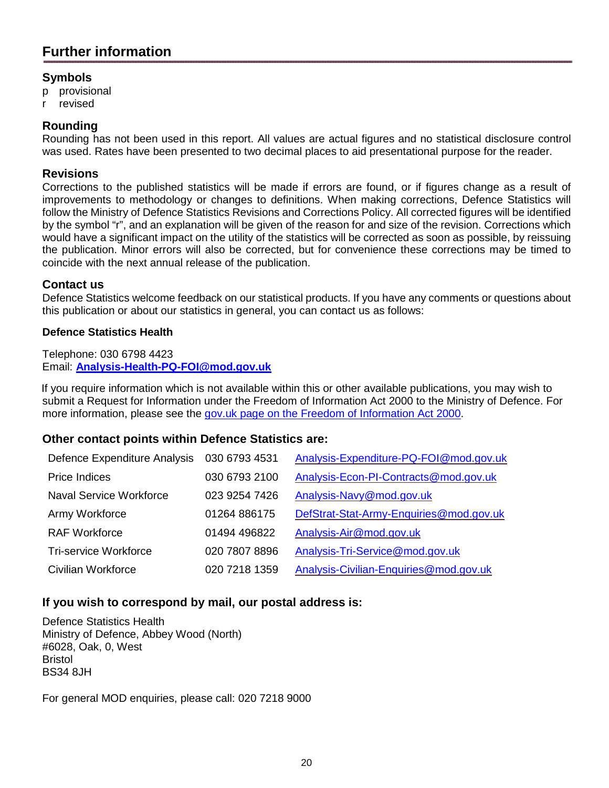# **Further information**

### **Symbols**

- p provisional
- r revised

## **Rounding**

Rounding has not been used in this report. All values are actual figures and no statistical disclosure control was used. Rates have been presented to two decimal places to aid presentational purpose for the reader.

### **Revisions**

Corrections to the published statistics will be made if errors are found, or if figures change as a result of improvements to methodology or changes to definitions. When making corrections, Defence Statistics will follow the Ministry of Defence Statistics Revisions and Corrections Policy. All corrected figures will be identified by the symbol "r", and an explanation will be given of the reason for and size of the revision. Corrections which would have a significant impact on the utility of the statistics will be corrected as soon as possible, by reissuing the publication. Minor errors will also be corrected, but for convenience these corrections may be timed to coincide with the next annual release of the publication.

### **Contact us**

Defence Statistics welcome feedback on our statistical products. If you have any comments or questions about this publication or about our statistics in general, you can contact us as follows:

### **Defence Statistics Health**

Telephone: 030 6798 4423 Email: **[Analysis-Health-PQ-FOI@mod.gov.uk](mailto:Analysis-Health-PQ-FOI@mod.gov.uk)**

If you require information which is not available within this or other available publications, you may wish to submit a Request for Information under the Freedom of Information Act 2000 to the Ministry of Defence. For more information, please see the [gov.uk page on the Freedom of Information Act 2000.](https://www.gov.uk/make-a-freedom-of-information-request)

### **Other contact points within Defence Statistics are:**

| Defence Expenditure Analysis | 030 6793 4531 | Analysis-Expenditure-PQ-FOI@mod.gov.uk  |
|------------------------------|---------------|-----------------------------------------|
| Price Indices                | 030 6793 2100 | Analysis-Econ-PI-Contracts@mod.gov.uk   |
| Naval Service Workforce      | 023 9254 7426 | Analysis-Navy@mod.gov.uk                |
| Army Workforce               | 01264 886175  | DefStrat-Stat-Army-Enquiries@mod.gov.uk |
| <b>RAF Workforce</b>         | 01494 496822  | Analysis-Air@mod.gov.uk                 |
| Tri-service Workforce        | 020 7807 8896 | Analysis-Tri-Service@mod.gov.uk         |
| Civilian Workforce           | 020 7218 1359 | Analysis-Civilian-Enquiries@mod.gov.uk  |

## **If you wish to correspond by mail, our postal address is:**

Defence Statistics Health Ministry of Defence, Abbey Wood (North) #6028, Oak, 0, West Bristol BS34 8JH

For general MOD enquiries, please call: 020 7218 9000